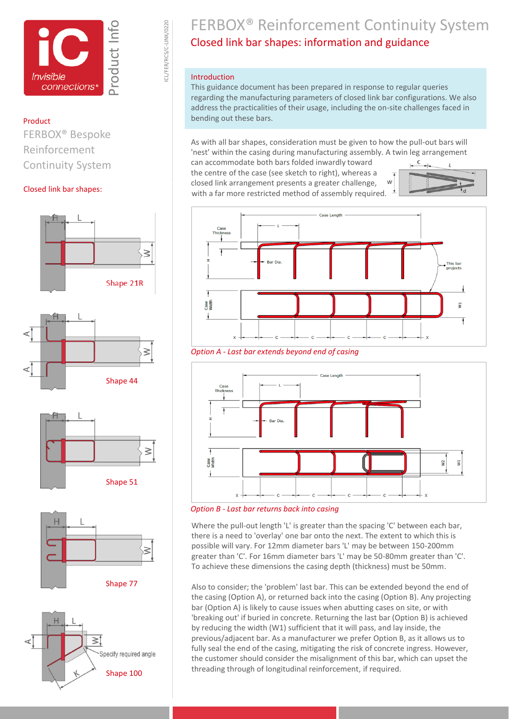

ICL/FER/RCS/C-LINK/0220

CL/FER/RCS/C-LINK/0220

### Product

FERBOX® Bespoke Reinforcement Continuity System

#### Closed link bar shapes:



 $\geq$ Specify required angle Shape 100

## FERBOX® Reinforcement Continuity System Closed link bar shapes: information and guidance

#### Introduction

This guidance document has been prepared in response to regular queries regarding the manufacturing parameters of closed link bar configurations. We also address the practicalities of their usage, including the on-site challenges faced in bending out these bars.

As with all bar shapes, consideration must be given to how the pull-out bars will 'nest' within the casing during manufacturing assembly. A twin leg arrangement

can accommodate both bars folded inwardly toward the centre of the case (see sketch to right), whereas a closed link arrangement presents a greater challenge, with a far more restricted method of assembly required.





*Option A - Last bar extends beyond end of casing*



*Option B - Last bar returns back into casing* 

Where the pull-out length 'L' is greater than the spacing 'C' between each bar, there is a need to 'overlay' one bar onto the next. The extent to which this is possible will vary. For 12mm diameter bars 'L' may be between 150-200mm greater than 'C'. For 16mm diameter bars 'L' may be 50-80mm greater than 'C'. To achieve these dimensions the casing depth (thickness) must be 50mm.

Also to consider; the 'problem' last bar. This can be extended beyond the end of the casing (Option A), or returned back into the casing (Option B). Any projecting bar (Option A) is likely to cause issues when abutting cases on site, or with 'breaking out' if buried in concrete. Returning the last bar (Option B) is achieved by reducing the width (W1) sufficient that it will pass, and lay inside, the previous/adjacent bar. As a manufacturer we prefer Option B, as it allows us to fully seal the end of the casing, mitigating the risk of concrete ingress. However, the customer should consider the misalignment of this bar, which can upset the threading through of longitudinal reinforcement, if required.